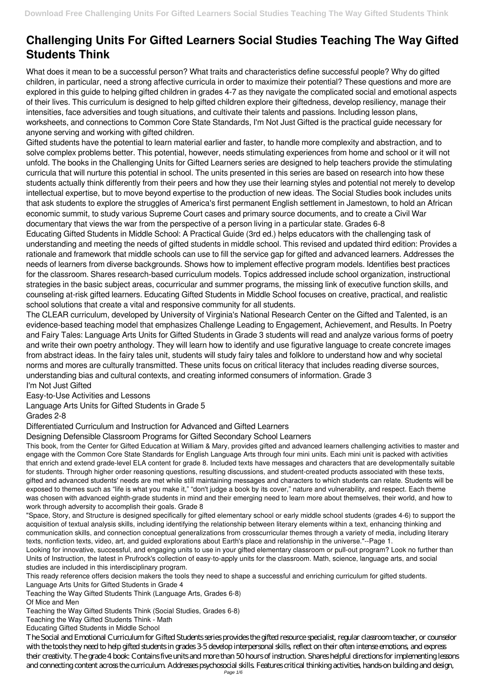## **Challenging Units For Gifted Learners Social Studies Teaching The Way Gifted Students Think**

What does it mean to be a successful person? What traits and characteristics define successful people? Why do gifted children, in particular, need a strong affective curricula in order to maximize their potential? These questions and more are explored in this guide to helping gifted children in grades 4-7 as they navigate the complicated social and emotional aspects of their lives. This curriculum is designed to help gifted children explore their giftedness, develop resiliency, manage their intensities, face adversities and tough situations, and cultivate their talents and passions. Including lesson plans, worksheets, and connections to Common Core State Standards, I'm Not Just Gifted is the practical guide necessary for anyone serving and working with gifted children.

Gifted students have the potential to learn material earlier and faster, to handle more complexity and abstraction, and to solve complex problems better. This potential, however, needs stimulating experiences from home and school or it will not unfold. The books in the Challenging Units for Gifted Learners series are designed to help teachers provide the stimulating curricula that will nurture this potential in school. The units presented in this series are based on research into how these students actually think differently from their peers and how they use their learning styles and potential not merely to develop intellectual expertise, but to move beyond expertise to the production of new ideas. The Social Studies book includes units that ask students to explore the struggles of America's first permanent English settlement in Jamestown, to hold an African economic summit, to study various Supreme Court cases and primary source documents, and to create a Civil War documentary that views the war from the perspective of a person living in a particular state. Grades 6-8

Educating Gifted Students in Middle School: A Practical Guide (3rd ed.) helps educators with the challenging task of understanding and meeting the needs of gifted students in middle school. This revised and updated third edition: Provides a rationale and framework that middle schools can use to fill the service gap for gifted and advanced learners. Addresses the needs of learners from diverse backgrounds. Shows how to implement effective program models. Identifies best practices for the classroom. Shares research-based curriculum models. Topics addressed include school organization, instructional strategies in the basic subject areas, cocurricular and summer programs, the missing link of executive function skills, and counseling at-risk gifted learners. Educating Gifted Students in Middle School focuses on creative, practical, and realistic school solutions that create a vital and responsive community for all students.

The CLEAR curriculum, developed by University of Virginia's National Research Center on the Gifted and Talented, is an evidence-based teaching model that emphasizes Challenge Leading to Engagement, Achievement, and Results. In Poetry and Fairy Tales: Language Arts Units for Gifted Students in Grade 3 students will read and analyze various forms of poetry and write their own poetry anthology. They will learn how to identify and use figurative language to create concrete images from abstract ideas. In the fairy tales unit, students will study fairy tales and folklore to understand how and why societal norms and mores are culturally transmitted. These units focus on critical literacy that includes reading diverse sources, understanding bias and cultural contexts, and creating informed consumers of information. Grade 3

I'm Not Just Gifted

Easy-to-Use Activities and Lessons

Language Arts Units for Gifted Students in Grade 5

Grades 2-8

Differentiated Curriculum and Instruction for Advanced and Gifted Learners

Designing Defensible Classroom Programs for Gifted Secondary School Learners

This book, from the Center for Gifted Education at William & Mary, provides gifted and advanced learners challenging activities to master and engage with the Common Core State Standards for English Language Arts through four mini units. Each mini unit is packed with activities that enrich and extend grade-level ELA content for grade 8. Included texts have messages and characters that are developmentally suitable for students. Through higher order reasoning questions, resulting discussions, and student-created products associated with these texts, gifted and advanced students' needs are met while still maintaining messages and characters to which students can relate. Students will be exposed to themes such as "life is what you make it," "don't judge a book by its cover," nature and vulnerability, and respect. Each theme was chosen with advanced eighth-grade students in mind and their emerging need to learn more about themselves, their world, and how to work through adversity to accomplish their goals. Grade 8

"Space, Story, and Structure is designed specifically for gifted elementary school or early middle school students (grades 4-6) to support the acquisition of textual analysis skills, including identifying the relationship between literary elements within a text, enhancing thinking and communication skills, and connection conceptual generalizations from crosscurricular themes through a variety of media, including literary texts, nonfiction texts, video, art, and guided explorations about Earth's place and relationship in the universe."--Page 1. Looking for innovative, successful, and engaging units to use in your gifted elementary classroom or pull-out program? Look no further than Units of Instruction, the latest in Prufrock's collection of easy-to-apply units for the classroom. Math, science, language arts, and social studies are included in this interdisciplinary program.

This ready reference offers decision makers the tools they need to shape a successful and enriching curriculum for gifted students. Language Arts Units for Gifted Students in Grade 4

Teaching the Way Gifted Students Think (Language Arts, Grades 6-8) Of Mice and Men

Teaching the Way Gifted Students Think (Social Studies, Grades 6-8)

Teaching the Way Gifted Students Think - Math

Educating Gifted Students in Middle School

The Social and Emotional Curriculum for Gifted Students series provides the gifted resource specialist, regular classroom teacher, or counselor with the tools they need to help gifted students in grades 3-5 develop interpersonal skills, reflect on their often intense emotions, and express their creativity. The grade 4 book: Contains five units and more than 50 hours of instruction. Shares helpful directions for implementing lessons and connecting content across the curriculum. Addresses psychosocial skills. Features critical thinking activities, hands-on building and design,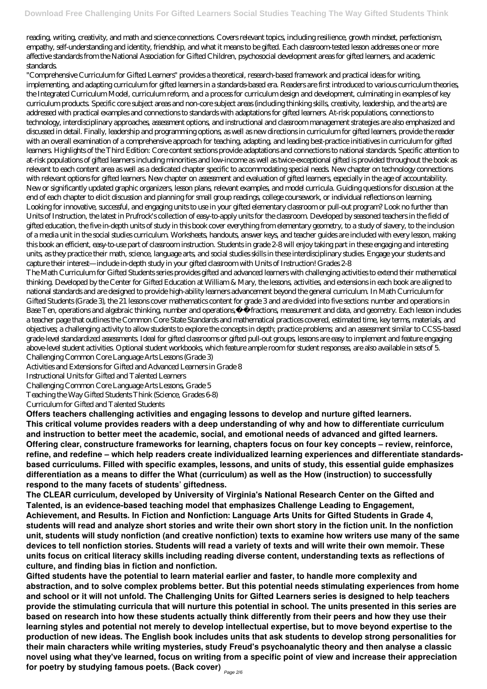reading, writing, creativity, and math and science connections. Covers relevant topics, including resilience, growth mindset, perfectionism, empathy, self-understanding and identity, friendship, and what it means to be gifted. Each classroom-tested lesson addresses one or more affective standards from the National Association for Gifted Children, psychosocial development areas for gifted learners, and academic standards.

"Comprehensive Curriculum for Gifted Learners" provides a theoretical, research-based framework and practical ideas for writing, implementing, and adapting curriculum for gifted learners in a standards-based era. Readers are first introduced to various curriculum theories, the Integrated Curriculum Model, curriculum reform, and a process for curriculum design and development, culminating in examples of key curriculum products. Specific core subject areas and non-core subject areas (including thinking skills, creativity, leadership, and the arts) are addressed with practical examples and connections to standards with adaptations for gifted learners. At-risk populations, connections to technology, interdisciplinary approaches, assessment options, and instructional and classroom management strategies are also emphasized and discussed in detail. Finally, leadership and programming options, as well as new directions in curriculum for gifted learners, provide the reader with an overall examination of a comprehensive approach for teaching, adapting, and leading best-practice initiatives in curriculum for gifted learners. Highlights of the Third Edition: Core content sections provide adaptations and connections to national standards. Specific attention to at-risk populations of gifted learners including minorities and low-income as well as twice-exceptional gifted is provided throughout the book as relevant to each content area as well as a dedicated chapter specific to accommodating special needs. New chapter on technology connections with relevant options for gifted learners. New chapter on assessment and evaluation of gifted learners, especially in the age of accountability. New or significantly updated graphic organizers, lesson plans, relevant examples, and model curricula. Guiding questions for discussion at the end of each chapter to elicit discussion and planning for small group readings, college coursework, or individual reflections on learning. Looking for innovative, successful, and engaging units to use in your gifted elementary classroom or pull-out program? Look no further than Units of Instruction, the latest in Prufrock's collection of easy-to-apply units for the classroom. Developed by seasoned teachers in the field of gifted education, the five in-depth units of study in this book cover everything from elementary geometry, to a study of slavery, to the inclusion of a media unit in the social studies curriculum. Worksheets, handouts, answer keys, and teacher guides are included with every lesson, making this book an efficient, easy-to-use part of classroom instruction. Students in grade 2-8 will enjoy taking part in these engaging and interesting units, as they practice their math, science, language arts, and social studies skills in these interdisciplinary studies. Engage your students and capture their interest—include in-depth study in your gifted classroom with Units of Instruction! Grades 2-8

The Math Curriculum for Gifted Students series provides gifted and advanced learners with challenging activities to extend their mathematical thinking. Developed by the Center for Gifted Education at William & Mary, the lessons, activities, and extensions in each book are aligned to national standards and are designed to provide high-ability learners advancement beyond the general curriculum. In Math Curriculum for Gifted Students (Grade 3), the 21 lessons cover mathematics content for grade 3 and are divided into five sections: number and operations in Base Ten, operations and algebraic thinking, number and operations,Ä î fractions, measurement and data, and geometry. Each lesson includes a teacher page that outlines the Common Core State Standards and mathematical practices covered, estimated time, key terms, materials, and objectives; a challenging activity to allow students to explore the concepts in depth; practice problems; and an assessment similar to CCSS-based grade-level standardized assessments. Ideal for gifted classrooms or gifted pull-out groups, lessons are easy to implement and feature engaging above-level student activities. Optional student workbooks, which feature ample room for student responses, are also available in sets of 5. Challenging Common Core Language Arts Lessons (Grade 3)

Activities and Extensions for Gifted and Advanced Learners in Grade 8

Instructional Units for Gifted and Talented Learners

Challenging Common Core Language Arts Lessons, Grade 5

Teaching the Way Gifted Students Think (Science, Grades 6-8)

Curriculum for Gifted and Talented Students

**Offers teachers challenging activities and engaging lessons to develop and nurture gifted learners. This critical volume provides readers with a deep understanding of why and how to differentiate curriculum and instruction to better meet the academic, social, and emotional needs of advanced and gifted learners. Offering clear, constructure frameworks for learning, chapters focus on four key concepts – review, reinforce, refine, and redefine – which help readers create individualized learning experiences and differentiate standardsbased curriculums. Filled with specific examples, lessons, and units of study, this essential guide emphasizes differentiation as a means to differ the What (curriculum) as well as the How (instruction) to successfully respond to the many facets of students' giftedness.**

**The CLEAR curriculum, developed by University of Virginia's National Research Center on the Gifted and Talented, is an evidence-based teaching model that emphasizes Challenge Leading to Engagement, Achievement, and Results. In Fiction and Nonfiction: Language Arts Units for Gifted Students in Grade 4,**

**students will read and analyze short stories and write their own short story in the fiction unit. In the nonfiction unit, students will study nonfiction (and creative nonfiction) texts to examine how writers use many of the same devices to tell nonfiction stories. Students will read a variety of texts and will write their own memoir. These units focus on critical literacy skills including reading diverse content, understanding texts as reflections of culture, and finding bias in fiction and nonfiction.**

**Gifted students have the potential to learn material earlier and faster, to handle more complexity and abstraction, and to solve complex problems better. But this potential needs stimulating experiences from home and school or it will not unfold. The Challenging Units for Gifted Learners series is designed to help teachers provide the stimulating curricula that will nurture this potential in school. The units presented in this series are based on research into how these students actually think differently from their peers and how they use their learning styles and potential not merely to develop intellectual expertise, but to move beyond expertise to the production of new ideas. The English book includes units that ask students to develop strong personalities for their main characters while writing mysteries, study Freud's psychoanalytic theory and then analyse a classic novel using what they've learned, focus on writing from a specific point of view and increase their appreciation for poetry by studying famous poets. (Back cover)** Page 2/6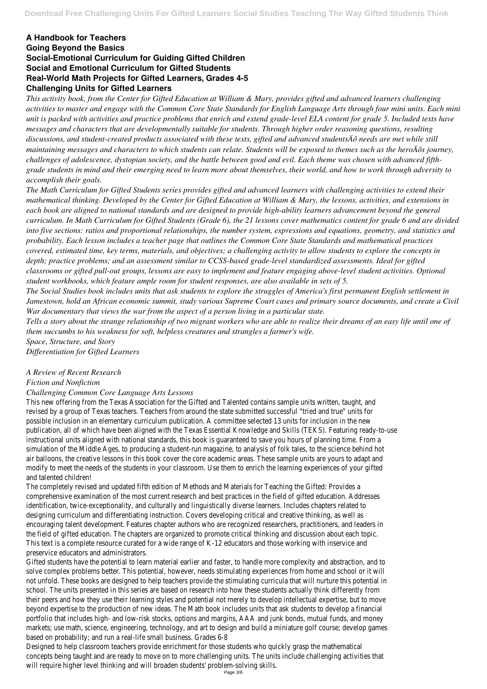## **A Handbook for Teachers Going Beyond the Basics Social-Emotional Curriculum for Guiding Gifted Children Social and Emotional Curriculum for Gifted Students Real-World Math Projects for Gifted Learners, Grades 4-5 Challenging Units for Gifted Learners**

*This activity book, from the Center for Gifted Education at William & Mary, provides gifted and advanced learners challenging activities to master and engage with the Common Core State Standards for English Language Arts through four mini units. Each mini unit is packed with activities and practice problems that enrich and extend grade-level ELA content for grade 5. Included texts have messages and characters that are developmentally suitable for students. Through higher order reasoning questions, resulting discussions, and student-created products associated with these texts, gifted and advanced studentsÄô needs are met while still maintaining messages and characters to which students can relate. Students will be exposed to themes such as the heroÄôs journey, challenges of adolescence, dystopian society, and the battle between good and evil. Each theme was chosen with advanced fifthgrade students in mind and their emerging need to learn more about themselves, their world, and how to work through adversity to accomplish their goals.*

*The Math Curriculum for Gifted Students series provides gifted and advanced learners with challenging activities to extend their mathematical thinking. Developed by the Center for Gifted Education at William & Mary, the lessons, activities, and extensions in each book are aligned to national standards and are designed to provide high-ability learners advancement beyond the general curriculum. In Math Curriculum for Gifted Students (Grade 6), the 21 lessons cover mathematics content for grade 6 and are divided into five sections: ratios and proportional relationships, the number system, expressions and equations, geometry, and statistics and probability. Each lesson includes a teacher page that outlines the Common Core State Standards and mathematical practices covered, estimated time, key terms, materials, and objectives; a challenging activity to allow students to explore the concepts in depth; practice problems; and an assessment similar to CCSS-based grade-level standardized assessments. Ideal for gifted classrooms or gifted pull-out groups, lessons are easy to implement and feature engaging above-level student activities. Optional student workbooks, which feature ample room for student responses, are also available in sets of 5.*

*The Social Studies book includes units that ask students to explore the struggles of America's first permanent English settlement in Jamestown, hold an African economic summit, study various Supreme Court cases and primary source documents, and create a Civil War documentary that views the war from the aspect of a person living in a particular state.*

*Tells a story about the strange relationship of two migrant workers who are able to realize their dreams of an easy life until one of them succumbs to his weakness for soft, helpless creatures and strangles a farmer's wife.*

*Space, Structure, and Story*

*Differentiation for Gifted Learners*

*A Review of Recent Research*

*Fiction and Nonfiction*

## *Challenging Common Core Language Arts Lessons*

This new offering from the Texas Association for the Gifted and Talented on revised by a group of Texas teachers. Teachers from around the state subm possible inclusion in an elementary curriculum publication. A committee selection publication, all of which have been aligned with the Texas Essential Knowledge instructional units aligned with national standards, this book is guaranteed to say that in planning time. From a simulation of the Middle Ages, to producing a student-run magazine, to analy air balloons, the creative lessons in this book cover the core academic areas. modify to meet the needs of the students in your classroom. Use them to en and talented on

The completely revised and updated fifth edition of Methods and Materials for Teaching the Gifted: The Complete comprehensive examination of the most current research and best practices identification, twice-exceptionality, and culturally and linguistically divers designing curriculum and differentiating instruction. Covers developing

encouraging talent development. Features chapter authors who are recognize the field of gifted education. The chapters are organized to promote critical This text is a complete resource curated for a wide range of K-12 educat preservice educators and a

Gifted students have the potential to learn material earlier and faster, to hand solve complex problems better. This potential, however, needs stimulating experiences not unfold. These books are designed to help teachers provide the stimulating school. The units presented in this series are based on research into how the their peers and how they use their learning styles and potential not merely to beyond expertise to the production of new ideas. The Math book includes un portfolio that includes high- and low-risk stocks, options and margins, AAA markets; use math, science, engineering, technology, and art to design and build a miniature golf course; marke based on probability; and run a real-life small

Designed to help classroom teachers provide enrichment for those students who help classroom teachers provide enrichment for those stude concepts being taught and are ready to move on to more challenging units. will require higher level thinking and will broaden students.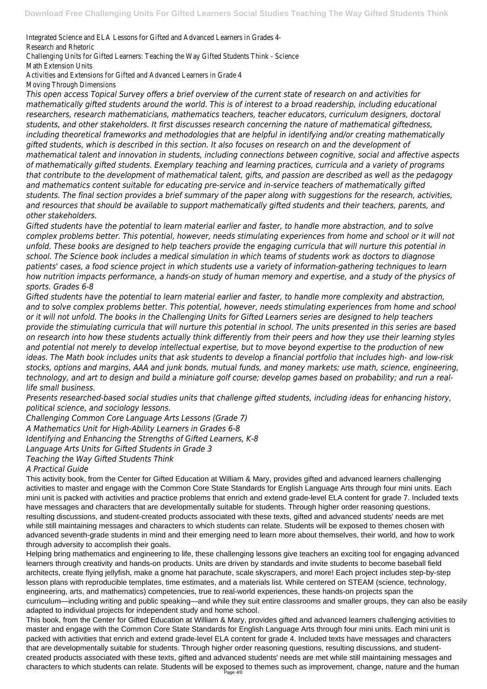Integrated Science and ELA Lessons for Gifted and Advanced Learners and Hearners in Grades 4.

Research and F

Challenging Units for Gifted Learners: Teaching the Way

Math Extensio

Activities and Extensions for Gifted and Adva

Moving Through Di

*This open access Topical Survey offers a brief overview of the current state of research on and activities for mathematically gifted students around the world. This is of interest to a broad readership, including educational researchers, research mathematicians, mathematics teachers, teacher educators, curriculum designers, doctoral students, and other stakeholders. It first discusses research concerning the nature of mathematical giftedness, including theoretical frameworks and methodologies that are helpful in identifying and/or creating mathematically gifted students, which is described in this section. It also focuses on research on and the development of mathematical talent and innovation in students, including connections between cognitive, social and affective aspects of mathematically gifted students. Exemplary teaching and learning practices, curricula and a variety of programs that contribute to the development of mathematical talent, gifts, and passion are described as well as the pedagogy and mathematics content suitable for educating pre-service and in-service teachers of mathematically gifted students. The final section provides a brief summary of the paper along with suggestions for the research, activities, and resources that should be available to support mathematically gifted students and their teachers, parents, and other stakeholders.*

*Gifted students have the potential to learn material earlier and faster, to handle more abstraction, and to solve complex problems better. This potential, however, needs stimulating experiences from home and school or it will not unfold. These books are designed to help teachers provide the engaging curricula that will nurture this potential in school. The Science book includes a medical simulation in which teams of students work as doctors to diagnose patients' cases, a food science project in which students use a variety of information-gathering techniques to learn how nutrition impacts performance, a hands-on study of human memory and expertise, and a study of the physics of sports. Grades 6-8*

*Gifted students have the potential to learn material earlier and faster, to handle more complexity and abstraction, and to solve complex problems better. This potential, however, needs stimulating experiences from home and school or it will not unfold. The books in the Challenging Units for Gifted Learners series are designed to help teachers provide the stimulating curricula that will nurture this potential in school. The units presented in this series are based on research into how these students actually think differently from their peers and how they use their learning styles and potential not merely to develop intellectual expertise, but to move beyond expertise to the production of new ideas. The Math book includes units that ask students to develop a financial portfolio that includes high- and low-risk stocks, options and margins, AAA and junk bonds, mutual funds, and money markets; use math, science, engineering, technology, and art to design and build a miniature golf course; develop games based on probability; and run a reallife small business.*

*Presents researched-based social studies units that challenge gifted students, including ideas for enhancing history, political science, and sociology lessons.*

*Challenging Common Core Language Arts Lessons (Grade 7)*

*A Mathematics Unit for High-Ability Learners in Grades 6-8*

*Identifying and Enhancing the Strengths of Gifted Learners, K-8*

*Language Arts Units for Gifted Students in Grade 3*

*Teaching the Way Gifted Students Think*

## *A Practical Guide*

This activity book, from the Center for Gifted Education at William & Mary, provides gifted and advanced learners challenging activities to master and engage with the Common Core State Standards for English Language Arts through four mini units. Each mini unit is packed with activities and practice problems that enrich and extend grade-level ELA content for grade 7. Included texts have messages and characters that are developmentally suitable for students. Through higher order reasoning questions, resulting discussions, and student-created products associated with these texts, gifted and advanced students' needs are met while still maintaining messages and characters to which students can relate. Students will be exposed to themes chosen with advanced seventh-grade students in mind and their emerging need to learn more about themselves, their world, and how to work through adversity to accomplish their goals. Helping bring mathematics and engineering to life, these challenging lessons give teachers an exciting tool for engaging advanced learners through creativity and hands-on products. Units are driven by standards and invite students to become baseball field architects, create flying jellyfish, make a gnome hat parachute, scale skyscrapers, and more! Each project includes step-by-step lesson plans with reproducible templates, time estimates, and a materials list. While centered on STEAM (science, technology, engineering, arts, and mathematics) competencies, true to real-world experiences, these hands-on projects span the curriculum—including writing and public speaking—and while they suit entire classrooms and smaller groups, they can also be easily adapted to individual projects for independent study and home school. This book, from the Center for Gifted Education at William & Mary, provides gifted and advanced learners challenging activities to master and engage with the Common Core State Standards for English Language Arts through four mini units. Each mini unit is packed with activities that enrich and extend grade-level ELA content for grade 4. Included texts have messages and characters that are developmentally suitable for students. Through higher order reasoning questions, resulting discussions, and studentcreated products associated with these texts, gifted and advanced students' needs are met while still maintaining messages and characters to which students can relate. Students will be exposed to themes such as improvement, change, nature and the human Page 4/6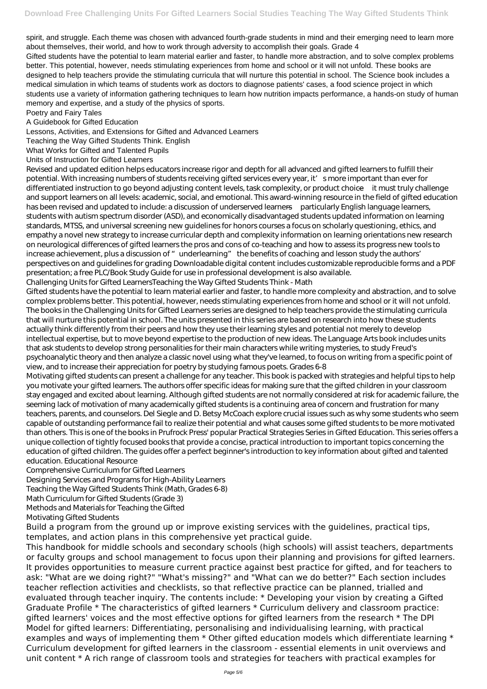spirit, and struggle. Each theme was chosen with advanced fourth-grade students in mind and their emerging need to learn more about themselves, their world, and how to work through adversity to accomplish their goals. Grade 4 Gifted students have the potential to learn material earlier and faster, to handle more abstraction, and to solve complex problems better. This potential, however, needs stimulating experiences from home and school or it will not unfold. These books are designed to help teachers provide the stimulating curricula that will nurture this potential in school. The Science book includes a medical simulation in which teams of students work as doctors to diagnose patients' cases, a food science project in which students use a variety of information gathering techniques to learn how nutrition impacts performance, a hands-on study of human memory and expertise, and a study of the physics of sports.

Poetry and Fairy Tales

A Guidebook for Gifted Education

Lessons, Activities, and Extensions for Gifted and Advanced Learners

Teaching the Way Gifted Students Think. English

What Works for Gifted and Talented Pupils

Units of Instruction for Gifted Learners

Revised and updated edition helps educators increase rigor and depth for all advanced and gifted learners to fulfill their potential. With increasing numbers of students receiving gifted services every year, it' smore important than ever for differentiated instruction to go beyond adjusting content levels, task complexity, or product choice—it must truly challenge and support learners on all levels: academic, social, and emotional. This award-winning resource in the field of gifted education has been revised and updated to include: a discussion of underserved learners—particularly English language learners, students with autism spectrum disorder (ASD), and economically disadvantaged students updated information on learning standards, MTSS, and universal screening new guidelines for honors courses a focus on scholarly questioning, ethics, and empathy a novel new strategy to increase curricular depth and complexity information on learning orientations new research on neurological differences of gifted learners the pros and cons of co-teaching and how to assess its progress new tools to increase achievement, plus a discussion of "underlearning" the benefits of coaching and lesson study the authors' perspectives on and guidelines for grading Downloadable digital content includes customizable reproducible forms and a PDF presentation; a free PLC/Book Study Guide for use in professional development is also available.

Challenging Units for Gifted LearnersTeaching the Way Gifted Students Think - Math

Gifted students have the potential to learn material earlier and faster, to handle more complexity and abstraction, and to solve complex problems better. This potential, however, needs stimulating experiences from home and school or it will not unfold. The books in the Challenging Units for Gifted Learners series are designed to help teachers provide the stimulating curricula that will nurture this potential in school. The units presented in this series are based on research into how these students actually think differently from their peers and how they use their learning styles and potential not merely to develop intellectual expertise, but to move beyond expertise to the production of new ideas. The Language Arts book includes units that ask students to develop strong personalities for their main characters while writing mysteries, to study Freud's psychoanalytic theory and then analyze a classic novel using what they've learned, to focus on writing from a specific point of view, and to increase their appreciation for poetry by studying famous poets. Grades 6-8

Motivating gifted students can present a challenge for any teacher. This book is packed with strategies and helpful tips to help you motivate your gifted learners. The authors offer specific ideas for making sure that the gifted children in your classroom stay engaged and excited about learning. Although gifted students are not normally considered at risk for academic failure, the seeming lack of motivation of many academically gifted students is a continuing area of concern and frustration for many teachers, parents, and counselors. Del Siegle and D. Betsy McCoach explore crucial issues such as why some students who seem capable of outstanding performance fail to realize their potential and what causes some gifted students to be more motivated than others. This is one of the books in Prufrock Press' popular Practical Strategies Series in Gifted Education. This series offers a unique collection of tightly focused books that provide a concise, practical introduction to important topics concerning the education of gifted children. The guides offer a perfect beginner's introduction to key information about gifted and talented education. Educational Resource

Comprehensive Curriculum for Gifted Learners

Designing Services and Programs for High-Ability Learners

Teaching the Way Gifted Students Think (Math, Grades 6-8) Math Curriculum for Gifted Students (Grade 3)

Methods and Materials for Teaching the Gifted

Motivating Gifted Students

Build a program from the ground up or improve existing services with the guidelines, practical tips, templates, and action plans in this comprehensive yet practical guide.

This handbook for middle schools and secondary schools (high schools) will assist teachers, departments or faculty groups and school management to focus upon their planning and provisions for gifted learners. It provides opportunities to measure current practice against best practice for gifted, and for teachers to ask: "What are we doing right?" "What's missing?" and "What can we do better?" Each section includes teacher reflection activities and checklists, so that reflective practice can be planned, trialled and evaluated through teacher inquiry. The contents include: \* Developing your vision by creating a Gifted Graduate Profile \* The characteristics of gifted learners \* Curriculum delivery and classroom practice: gifted learners' voices and the most effective options for gifted learners from the research \* The DPI Model for gifted learners: Differentiating, personalising and individualising learning, with practical examples and ways of implementing them  $*$  Other gifted education models which differentiate learning  $*$ Curriculum development for gifted learners in the classroom - essential elements in unit overviews and unit content \* A rich range of classroom tools and strategies for teachers with practical examples for